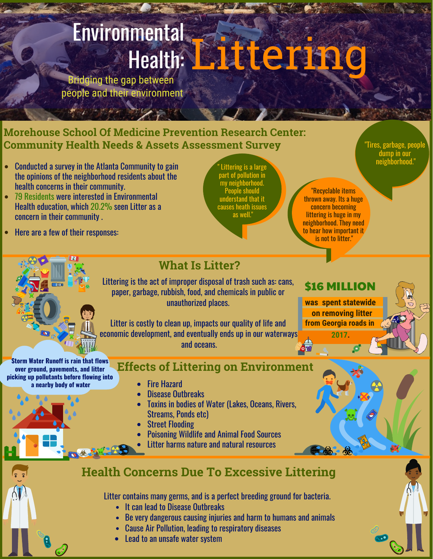## Environmental Bridging the gap between

people and their environment

#### **Morehouse School Of Medicine Prevention Research Center: Community Health Needs & Assets Assessment Survey**

- Conducted a survey in the Atlanta Community to gain the opinions of the neighborhood residents about the health concerns in their community.
- 79 Residents were interested in Environmental Health education, which 20.2% seen Litter as a concern in their community .
- Here are a few of their responses:

**Storm Water Runoff is rain that flows over ground, pavements, and litter picking up pollutants before flowing into a nearby body of water**

 $\blacksquare$  Littering is a large  $\blacksquare$  . The contract of the contract of the contract of the contract of the contract of the contract of the contract of the contract of the contract of the contract of the contract of the cont part of pollution in my neighborhood. People should understand that it causes heath issues as well."

"Tires, garbage, people dump in our

#### "Recyclable items thrown away. Its a huge concern becoming littering is huge in my neighborhood. They need to hear how important it is not to litter."

\$16 MILLION **was spent statewide on removing litter**

**from Georgia roads in 2017.**

Litter is costly to clean up, impacts our quality of life and economic development, and eventually ends up in our waterways and oceans.

**What Is Litter?**

Littering is the act of improper disposal of trash such as: cans, paper, garbage, rubbish, food, and chemicals in public or unauthorized places.

**Effects of Littering on Environment**

- Fire Hazard
- Disease Outbreaks
- Toxins in bodies of Water (Lakes, Oceans, Rivers, Streams, Ponds etc)
- Street Flooding
- Poisoning Wildlife and Animal Food Sources
- Litter harms nature and natural resources

### **Health Concerns Due To Excessive Littering**

Litter contains many germs, and is a perfect breeding ground for bacteria.

- It can lead to Disease Outbreaks
- Be very dangerous causing injuries and harm to humans and animals
- Cause Air Pollution, leading to respiratory diseases
- Lead to an unsafe water system